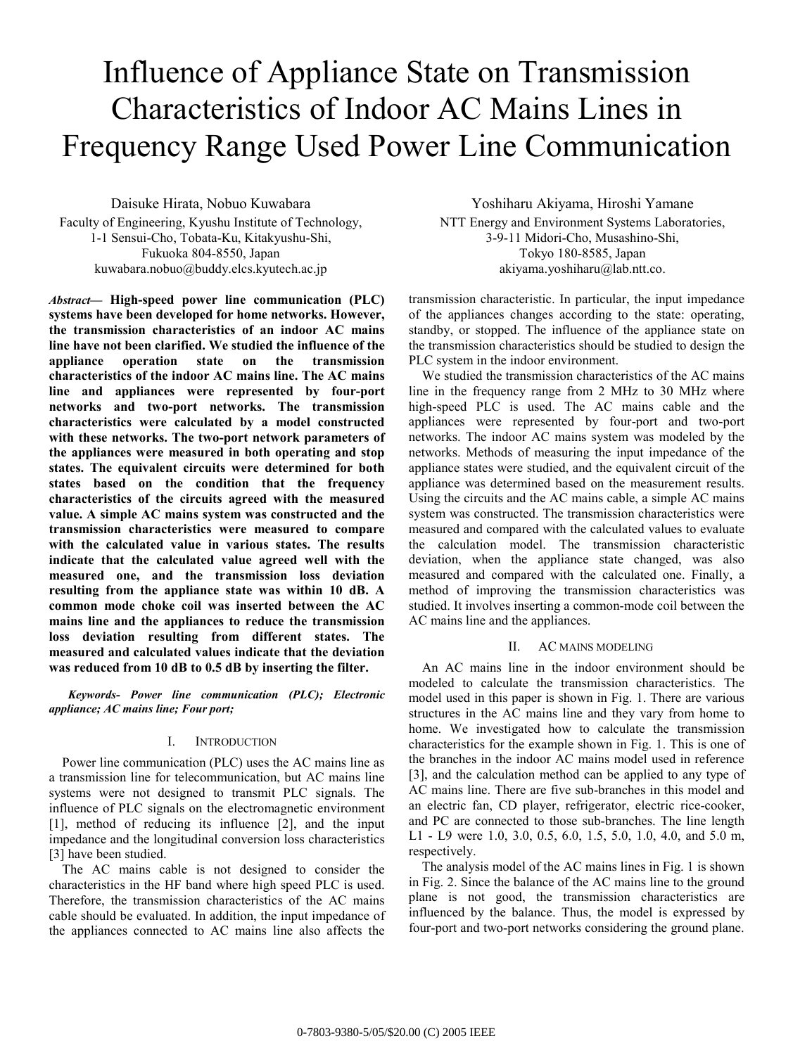# Influence of Appliance State on Transmission Characteristics of Indoor AC Mains Lines in Frequency Range Used Power Line Communication

Daisuke Hirata, Nobuo Kuwabara Faculty of Engineering, Kyushu Institute of Technology, 1-1 Sensui-Cho, Tobata-Ku, Kitakyushu-Shi, Fukuoka 804-8550, Japan kuwabara.nobuo@buddy.elcs.kyutech.ac.jp

*Abstract***— High-speed power line communication (PLC) systems have been developed for home networks. However, the transmission characteristics of an indoor AC mains line have not been clarified. We studied the influence of the appliance operation state on the transmission characteristics of the indoor AC mains line. The AC mains line and appliances were represented by four-port networks and two-port networks. The transmission characteristics were calculated by a model constructed with these networks. The two-port network parameters of the appliances were measured in both operating and stop states. The equivalent circuits were determined for both states based on the condition that the frequency characteristics of the circuits agreed with the measured value. A simple AC mains system was constructed and the transmission characteristics were measured to compare with the calculated value in various states. The results indicate that the calculated value agreed well with the measured one, and the transmission loss deviation resulting from the appliance state was within 10 dB. A common mode choke coil was inserted between the AC mains line and the appliances to reduce the transmission loss deviation resulting from different states. The measured and calculated values indicate that the deviation was reduced from 10 dB to 0.5 dB by inserting the filter.**

*Keywords- Power line communication (PLC); Electronic appliance; AC mains line; Four port;* 

# I. INTRODUCTION

Power line communication (PLC) uses the AC mains line as a transmission line for telecommunication, but AC mains line systems were not designed to transmit PLC signals. The influence of PLC signals on the electromagnetic environment [1], method of reducing its influence [2], and the input impedance and the longitudinal conversion loss characteristics [3] have been studied.

The AC mains cable is not designed to consider the characteristics in the HF band where high speed PLC is used. Therefore, the transmission characteristics of the AC mains cable should be evaluated. In addition, the input impedance of the appliances connected to AC mains line also affects the

Yoshiharu Akiyama, Hiroshi Yamane NTT Energy and Environment Systems Laboratories, 3-9-11 Midori-Cho, Musashino-Shi, Tokyo 180-8585, Japan akiyama.yoshiharu@lab.ntt.co.

transmission characteristic. In particular, the input impedance of the appliances changes according to the state: operating, standby, or stopped. The influence of the appliance state on the transmission characteristics should be studied to design the PLC system in the indoor environment.

We studied the transmission characteristics of the AC mains line in the frequency range from 2 MHz to 30 MHz where high-speed PLC is used. The AC mains cable and the appliances were represented by four-port and two-port networks. The indoor AC mains system was modeled by the networks. Methods of measuring the input impedance of the appliance states were studied, and the equivalent circuit of the appliance was determined based on the measurement results. Using the circuits and the AC mains cable, a simple AC mains system was constructed. The transmission characteristics were measured and compared with the calculated values to evaluate the calculation model. The transmission characteristic deviation, when the appliance state changed, was also measured and compared with the calculated one. Finally, a method of improving the transmission characteristics was studied. It involves inserting a common-mode coil between the AC mains line and the appliances.

# II. AC MAINS MODELING

An AC mains line in the indoor environment should be modeled to calculate the transmission characteristics. The model used in this paper is shown in Fig. 1. There are various structures in the AC mains line and they vary from home to home. We investigated how to calculate the transmission characteristics for the example shown in Fig. 1. This is one of the branches in the indoor AC mains model used in reference [3], and the calculation method can be applied to any type of AC mains line. There are five sub-branches in this model and an electric fan, CD player, refrigerator, electric rice-cooker, and PC are connected to those sub-branches. The line length L1 - L9 were 1.0, 3.0, 0.5, 6.0, 1.5, 5.0, 1.0, 4.0, and 5.0 m, respectively.

The analysis model of the AC mains lines in Fig. 1 is shown in Fig. 2. Since the balance of the AC mains line to the ground plane is not good, the transmission characteristics are influenced by the balance. Thus, the model is expressed by four-port and two-port networks considering the ground plane.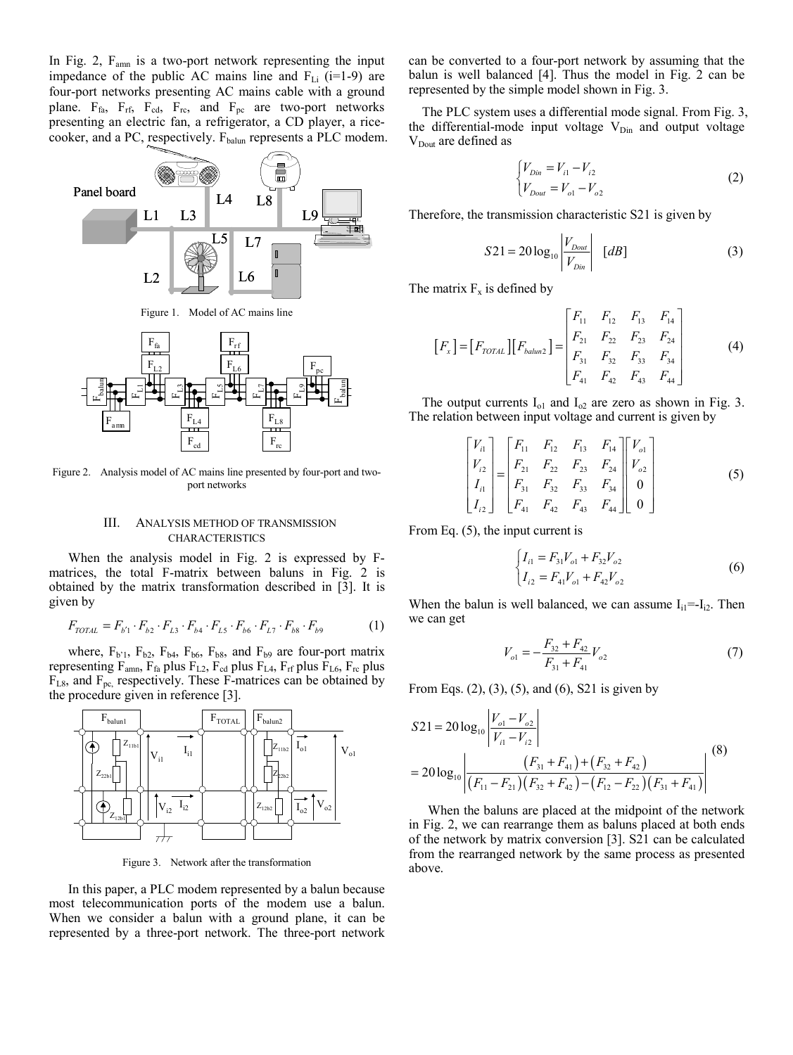In Fig. 2, Famn is a two-port network representing the input impedance of the public AC mains line and  $F_{Li}$  (i=1-9) are four-port networks presenting AC mains cable with a ground plane.  $F_{fa}$ ,  $F_{rf}$ ,  $F_{cd}$ ,  $F_{rc}$ , and  $F_{pc}$  are two-port networks presenting an electric fan, a refrigerator, a CD player, a ricecooker, and a PC, respectively. F<sub>balun</sub> represents a PLC modem.



Figure 2. Analysis model of AC mains line presented by four-port and twoport networks

## III. ANALYSIS METHOD OF TRANSMISSION CHARACTERISTICS

When the analysis model in Fig. 2 is expressed by Fmatrices, the total F-matrix between baluns in Fig. 2 is obtained by the matrix transformation described in [3]. It is given by

$$
F_{TOTAL} = F_{b1} \cdot F_{b2} \cdot F_{L3} \cdot F_{b4} \cdot F_{L5} \cdot F_{b6} \cdot F_{L7} \cdot F_{b8} \cdot F_{b9} \tag{1}
$$

where,  $F_{b'1}$ ,  $F_{b2}$ ,  $F_{b4}$ ,  $F_{b6}$ ,  $F_{b8}$ , and  $F_{b9}$  are four-port matrix representing  $F_{\text{amn}}$ ,  $F_{\text{fa}}$  plus  $F_{\text{L2}}$ ,  $F_{\text{cd}}$  plus  $F_{\text{L4}}$ ,  $F_{\text{rf}}$  plus  $F_{\text{L6}}$ ,  $F_{\text{rc}}$  plus  $F_{LS}$ , and  $F_{pc}$ , respectively. These F-matrices can be obtained by the procedure given in reference [3].



Figure 3. Network after the transformation

In this paper, a PLC modem represented by a balun because most telecommunication ports of the modem use a balun. When we consider a balun with a ground plane, it can be represented by a three-port network. The three-port network can be converted to a four-port network by assuming that the balun is well balanced [4]. Thus the model in Fig. 2 can be represented by the simple model shown in Fig. 3.

The PLC system uses a differential mode signal. From Fig. 3, the differential-mode input voltage  $V_{\text{Din}}$  and output voltage  $V<sub>Dout</sub>$  are defined as

$$
\begin{cases}\nV_{Din} = V_{i1} - V_{i2} \\
V_{Dout} = V_{o1} - V_{o2}\n\end{cases}
$$
\n(2)

Therefore, the transmission characteristic S21 is given by

$$
S21 = 20 \log_{10} \left| \frac{V_{Dout}}{V_{Din}} \right| \quad [dB] \tag{3}
$$

The matrix  $F_x$  is defined by

$$
\begin{bmatrix} F_x \end{bmatrix} = \begin{bmatrix} F_{\text{TOTAL}} \end{bmatrix} \begin{bmatrix} F_{\text{balum2}} \end{bmatrix} = \begin{bmatrix} F_{11} & F_{12} & F_{13} & F_{14} \\ F_{21} & F_{22} & F_{23} & F_{24} \\ F_{31} & F_{32} & F_{33} & F_{34} \\ F_{41} & F_{42} & F_{43} & F_{44} \end{bmatrix}
$$
 (4)

The output currents  $I_{o1}$  and  $I_{o2}$  are zero as shown in Fig. 3. The relation between input voltage and current is given by

$$
\begin{bmatrix} V_{i1} \\ V_{i2} \\ I_{i1} \\ I_{i2} \end{bmatrix} = \begin{bmatrix} F_{11} & F_{12} & F_{13} & F_{14} \\ F_{21} & F_{22} & F_{23} & F_{24} \\ F_{31} & F_{32} & F_{33} & F_{34} \\ F_{41} & F_{42} & F_{43} & F_{44} \end{bmatrix} \begin{bmatrix} V_{o1} \\ V_{o2} \\ 0 \\ 0 \end{bmatrix}
$$
 (5)

From Eq. (5), the input current is

$$
\begin{cases}\nI_{i1} = F_{31}V_{o1} + F_{32}V_{o2} \\
I_{i2} = F_{41}V_{o1} + F_{42}V_{o2}\n\end{cases}
$$
\n(6)

When the balun is well balanced, we can assume  $I_{i1} = I_{i2}$ . Then we can get

$$
V_{o1} = -\frac{F_{32} + F_{42}}{F_{31} + F_{41}} V_{o2}
$$
 (7)

From Eqs. (2), (3), (5), and (6), S21 is given by

$$
S21 = 20 \log_{10} \left| \frac{V_{o1} - V_{o2}}{V_{i1} - V_{i2}} \right|
$$
  
= 20 log<sub>10</sub>  $\left| \frac{(F_{31} + F_{41}) + (F_{32} + F_{42})}{(F_{11} - F_{21})(F_{32} + F_{42}) - (F_{12} - F_{22})(F_{31} + F_{41})} \right|$  (8)

When the baluns are placed at the midpoint of the network in Fig. 2, we can rearrange them as baluns placed at both ends of the network by matrix conversion [3]. S21 can be calculated from the rearranged network by the same process as presented above.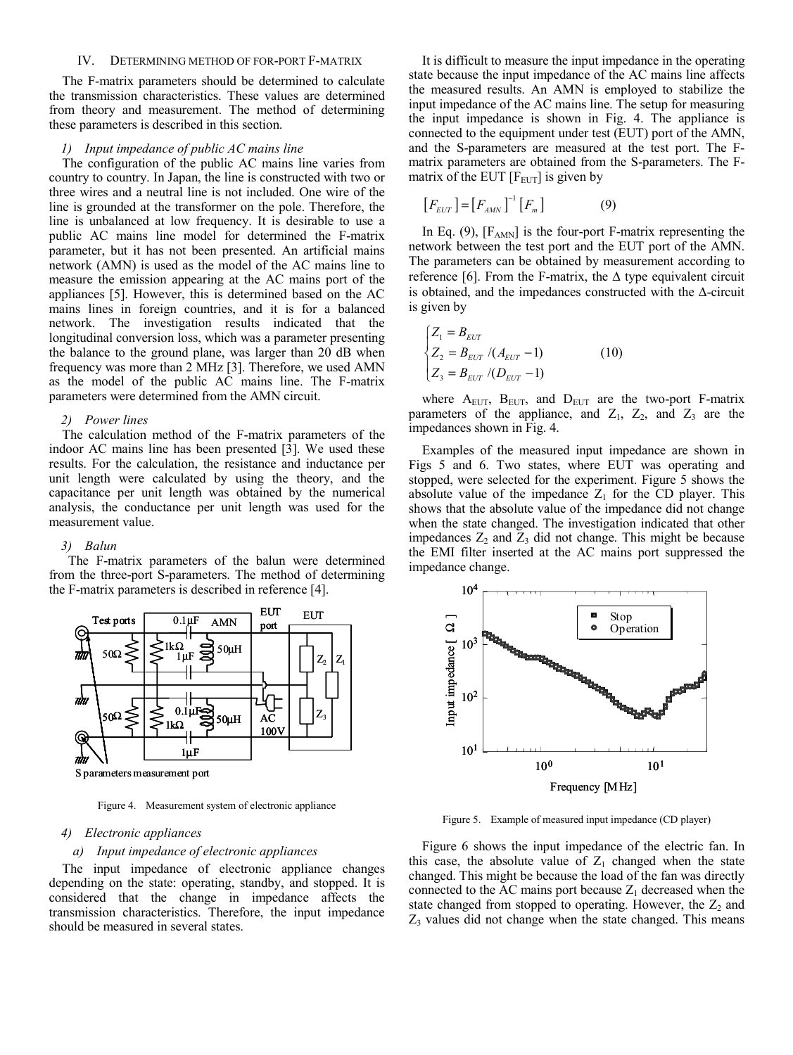### IV. DETERMINING METHOD OF FOR-PORT F-MATRIX

The F-matrix parameters should be determined to calculate the transmission characteristics. These values are determined from theory and measurement. The method of determining these parameters is described in this section.

## *1) Input impedance of public AC mains line*

The configuration of the public AC mains line varies from country to country. In Japan, the line is constructed with two or three wires and a neutral line is not included. One wire of the line is grounded at the transformer on the pole. Therefore, the line is unbalanced at low frequency. It is desirable to use a public AC mains line model for determined the F-matrix parameter, but it has not been presented. An artificial mains network (AMN) is used as the model of the AC mains line to measure the emission appearing at the AC mains port of the appliances [5]. However, this is determined based on the AC mains lines in foreign countries, and it is for a balanced network. The investigation results indicated that the longitudinal conversion loss, which was a parameter presenting the balance to the ground plane, was larger than 20 dB when frequency was more than 2 MHz [3]. Therefore, we used AMN as the model of the public AC mains line. The F-matrix parameters were determined from the AMN circuit.

#### *2) Power lines*

The calculation method of the F-matrix parameters of the indoor AC mains line has been presented [3]. We used these results. For the calculation, the resistance and inductance per unit length were calculated by using the theory, and the capacitance per unit length was obtained by the numerical analysis, the conductance per unit length was used for the measurement value.

# *3) Balun*

The F-matrix parameters of the balun were determined from the three-port S-parameters. The method of determining the F-matrix parameters is described in reference [4].



Figure 4. Measurement system of electronic appliance

# *4) Electronic appliances*

# *a) Input impedance of electronic appliances*

The input impedance of electronic appliance changes depending on the state: operating, standby, and stopped. It is considered that the change in impedance affects the transmission characteristics. Therefore, the input impedance should be measured in several states.

It is difficult to measure the input impedance in the operating state because the input impedance of the AC mains line affects the measured results. An AMN is employed to stabilize the input impedance of the AC mains line. The setup for measuring the input impedance is shown in Fig. 4. The appliance is connected to the equipment under test (EUT) port of the AMN, and the S-parameters are measured at the test port. The Fmatrix parameters are obtained from the S-parameters. The Fmatrix of the EUT  $[F_{EUT}]$  is given by

$$
\left[F_{EUT}\right] = \left[F_{AMN}\right]^{-1}\left[F_m\right] \tag{9}
$$

In Eq.  $(9)$ ,  $[F<sub>AMN</sub>]$  is the four-port F-matrix representing the network between the test port and the EUT port of the AMN. The parameters can be obtained by measurement according to reference [6]. From the F-matrix, the  $\Delta$  type equivalent circuit is obtained, and the impedances constructed with the ∆-circuit is given by

$$
\begin{cases}\nZ_1 = B_{EUT} \\
Z_2 = B_{EUT} / (A_{EUT} - 1) \\
Z_3 = B_{EUT} / (D_{EUT} - 1)\n\end{cases}
$$
\n(10)

where  $A_{\text{EUT}}$ ,  $B_{\text{EUT}}$ , and  $D_{\text{EUT}}$  are the two-port F-matrix parameters of the appliance, and  $Z_1$ ,  $Z_2$ , and  $Z_3$  are the impedances shown in Fig. 4.

Examples of the measured input impedance are shown in Figs 5 and 6. Two states, where EUT was operating and stopped, were selected for the experiment. Figure 5 shows the absolute value of the impedance  $Z_1$  for the CD player. This shows that the absolute value of the impedance did not change when the state changed. The investigation indicated that other impedances  $Z_2$  and  $Z_3$  did not change. This might be because the EMI filter inserted at the AC mains port suppressed the impedance change.



Figure 5. Example of measured input impedance (CD player)

Figure 6 shows the input impedance of the electric fan. In this case, the absolute value of  $Z_1$  changed when the state changed. This might be because the load of the fan was directly connected to the AC mains port because  $Z_1$  decreased when the state changed from stopped to operating. However, the  $Z_2$  and  $Z_3$  values did not change when the state changed. This means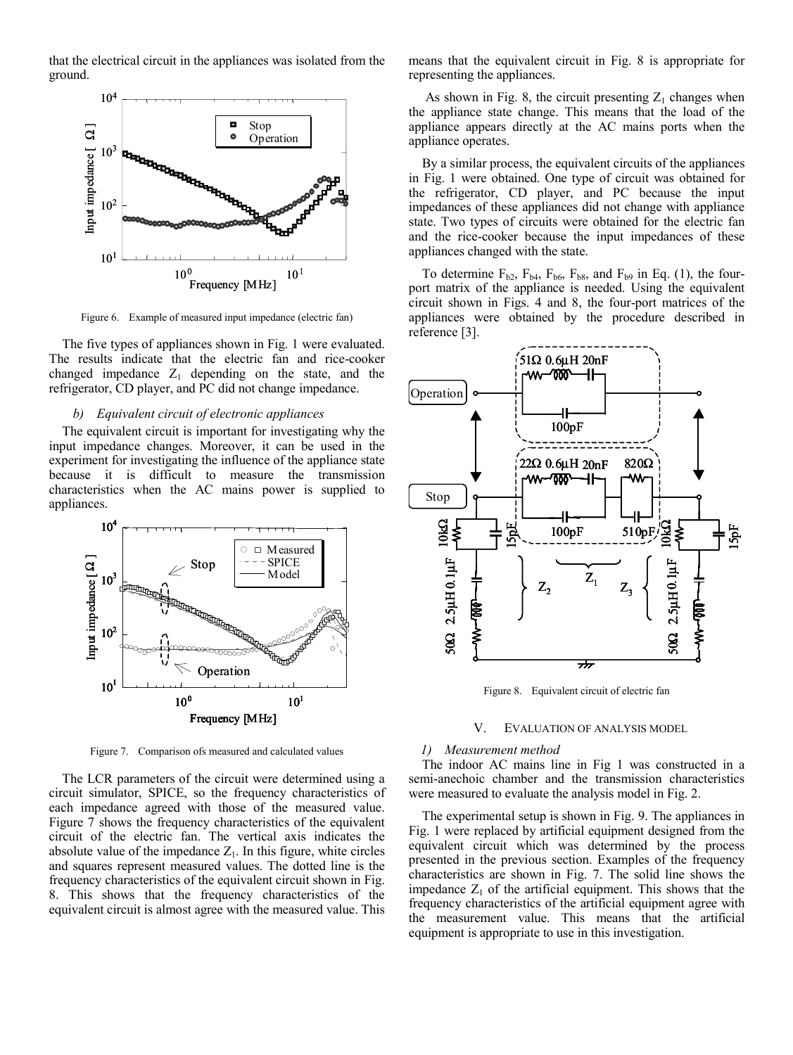that the electrical circuit in the appliances was isolated from the ground.



Figure 6. Example of measured input impedance (electric fan)

The five types of appliances shown in Fig. 1 were evaluated. The results indicate that the electric fan and rice-cooker changed impedance  $Z_1$  depending on the state, and the refrigerator, CD player, and PC did not change impedance.

# *b) Equivalent circuit of electronic appliances*

The equivalent circuit is important for investigating why the input impedance changes. Moreover, it can be used in the experiment for investigating the influence of the appliance state because it is difficult to measure the transmission characteristics when the AC mains power is supplied to appliances.



Figure 7. Comparison ofs measured and calculated values

The LCR parameters of the circuit were determined using a circuit simulator, SPICE, so the frequency characteristics of each impedance agreed with those of the measured value. Figure 7 shows the frequency characteristics of the equivalent circuit of the electric fan. The vertical axis indicates the absolute value of the impedance  $Z_1$ . In this figure, white circles and squares represent measured values. The dotted line is the frequency characteristics of the equivalent circuit shown in Fig. 8. This shows that the frequency characteristics of the equivalent circuit is almost agree with the measured value. This means that the equivalent circuit in Fig. 8 is appropriate for representing the appliances.

As shown in Fig. 8, the circuit presenting  $Z_1$  changes when the appliance state change. This means that the load of the appliance appears directly at the AC mains ports when the appliance operates.

By a similar process, the equivalent circuits of the appliances in Fig. 1 were obtained. One type of circuit was obtained for the refrigerator, CD player, and PC because the input impedances of these appliances did not change with appliance state. Two types of circuits were obtained for the electric fan and the rice-cooker because the input impedances of these appliances changed with the state.

To determine  $F_{b2}$ ,  $F_{b4}$ ,  $F_{b6}$ ,  $F_{b8}$ , and  $F_{b9}$  in Eq. (1), the fourport matrix of the appliance is needed. Using the equivalent circuit shown in Figs. 4 and 8, the four-port matrices of the appliances were obtained by the procedure described in reference [3].



Figure 8. Equivalent circuit of electric fan

#### V. EVALUATION OF ANALYSIS MODEL

# *1) Measurement method*

The indoor AC mains line in Fig 1 was constructed in a semi-anechoic chamber and the transmission characteristics were measured to evaluate the analysis model in Fig. 2.

The experimental setup is shown in Fig. 9. The appliances in Fig. 1 were replaced by artificial equipment designed from the equivalent circuit which was determined by the process presented in the previous section. Examples of the frequency characteristics are shown in Fig. 7. The solid line shows the impedance  $Z_1$  of the artificial equipment. This shows that the frequency characteristics of the artificial equipment agree with the measurement value. This means that the artificial equipment is appropriate to use in this investigation.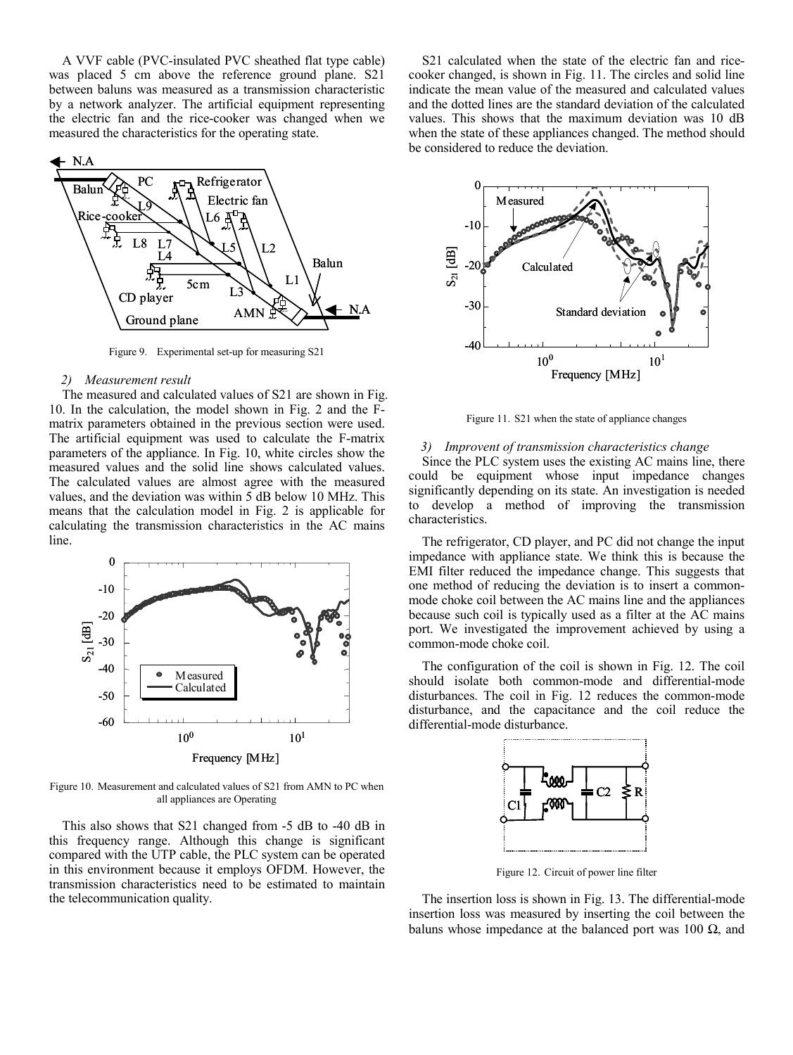A VVF cable (PVC-insulated PVC sheathed flat type cable) was placed 5 cm above the reference ground plane. S21 between baluns was measured as a transmission characteristic by a network analyzer. The artificial equipment representing the electric fan and the rice-cooker was changed when we measured the characteristics for the operating state.



Figure 9. Experimental set-up for measuring S21

# *2) Measurement result*

The measured and calculated values of S21 are shown in Fig. 10. In the calculation, the model shown in Fig. 2 and the Fmatrix parameters obtained in the previous section were used. The artificial equipment was used to calculate the F-matrix parameters of the appliance. In Fig. 10, white circles show the measured values and the solid line shows calculated values. The calculated values are almost agree with the measured values, and the deviation was within 5 dB below 10 MHz. This means that the calculation model in Fig. 2 is applicable for calculating the transmission characteristics in the AC mains line.



Figure 10. Measurement and calculated values of S21 from AMN to PC when all appliances are Operating

This also shows that S21 changed from -5 dB to -40 dB in this frequency range. Although this change is significant compared with the UTP cable, the PLC system can be operated in this environment because it employs OFDM. However, the transmission characteristics need to be estimated to maintain the telecommunication quality.

S21 calculated when the state of the electric fan and ricecooker changed, is shown in Fig. 11. The circles and solid line indicate the mean value of the measured and calculated values and the dotted lines are the standard deviation of the calculated values. This shows that the maximum deviation was 10 dB when the state of these appliances changed. The method should be considered to reduce the deviation.



Figure 11. S21 when the state of appliance changes

# *3) Improvent of transmission characteristics change*

Since the PLC system uses the existing AC mains line, there could be equipment whose input impedance changes significantly depending on its state. An investigation is needed to develop a method of improving the transmission characteristics.

The refrigerator, CD player, and PC did not change the input impedance with appliance state. We think this is because the EMI filter reduced the impedance change. This suggests that one method of reducing the deviation is to insert a commonmode choke coil between the AC mains line and the appliances because such coil is typically used as a filter at the AC mains port. We investigated the improvement achieved by using a common-mode choke coil.

The configuration of the coil is shown in Fig. 12. The coil should isolate both common-mode and differential-mode disturbances. The coil in Fig. 12 reduces the common-mode disturbance, and the capacitance and the coil reduce the differential-mode disturbance.



Figure 12. Circuit of power line filter

The insertion loss is shown in Fig. 13. The differential-mode insertion loss was measured by inserting the coil between the baluns whose impedance at the balanced port was 100  $\Omega$ , and